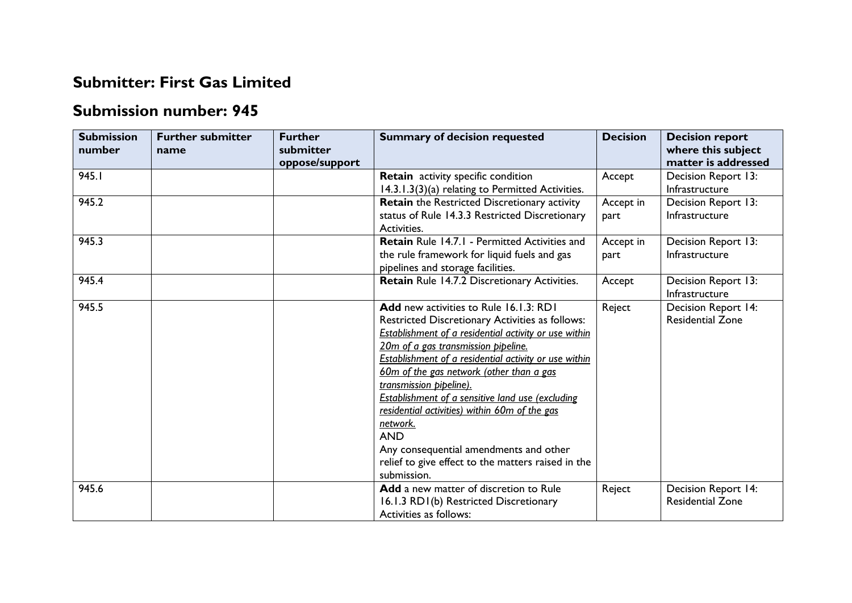## **Submitter: First Gas Limited**

## **Submission number: 945**

| <b>Submission</b><br>number | <b>Further submitter</b><br>name | <b>Further</b><br>submitter<br>oppose/support | <b>Summary of decision requested</b>                                                                                                                                                                                                                                                                                                                                                                                                                                                                                                                                           | <b>Decision</b>   | <b>Decision report</b><br>where this subject<br>matter is addressed |
|-----------------------------|----------------------------------|-----------------------------------------------|--------------------------------------------------------------------------------------------------------------------------------------------------------------------------------------------------------------------------------------------------------------------------------------------------------------------------------------------------------------------------------------------------------------------------------------------------------------------------------------------------------------------------------------------------------------------------------|-------------------|---------------------------------------------------------------------|
| 945.1                       |                                  |                                               | Retain activity specific condition<br>14.3.1.3(3)(a) relating to Permitted Activities.                                                                                                                                                                                                                                                                                                                                                                                                                                                                                         | Accept            | Decision Report 13:<br>Infrastructure                               |
| 945.2                       |                                  |                                               | Retain the Restricted Discretionary activity<br>status of Rule 14.3.3 Restricted Discretionary<br>Activities.                                                                                                                                                                                                                                                                                                                                                                                                                                                                  | Accept in<br>part | Decision Report 13:<br>Infrastructure                               |
| 945.3                       |                                  |                                               | <b>Retain</b> Rule 14.7.1 - Permitted Activities and<br>the rule framework for liquid fuels and gas<br>pipelines and storage facilities.                                                                                                                                                                                                                                                                                                                                                                                                                                       | Accept in<br>part | Decision Report 13:<br>Infrastructure                               |
| 945.4                       |                                  |                                               | Retain Rule 14.7.2 Discretionary Activities.                                                                                                                                                                                                                                                                                                                                                                                                                                                                                                                                   | Accept            | Decision Report 13:<br>Infrastructure                               |
| 945.5                       |                                  |                                               | <b>Add</b> new activities to Rule 16.1.3: RD1<br>Restricted Discretionary Activities as follows:<br>Establishment of a residential activity or use within<br>20m of a gas transmission pipeline.<br>Establishment of a residential activity or use within<br>60m of the gas network (other than a gas<br>transmission pipeline).<br>Establishment of a sensitive land use (excluding<br>residential activities) within 60m of the gas<br>network.<br><b>AND</b><br>Any consequential amendments and other<br>relief to give effect to the matters raised in the<br>submission. | Reject            | Decision Report 14:<br><b>Residential Zone</b>                      |
| 945.6                       |                                  |                                               | <b>Add</b> a new matter of discretion to Rule<br>16.1.3 RD1(b) Restricted Discretionary<br>Activities as follows:                                                                                                                                                                                                                                                                                                                                                                                                                                                              | Reject            | Decision Report 14:<br><b>Residential Zone</b>                      |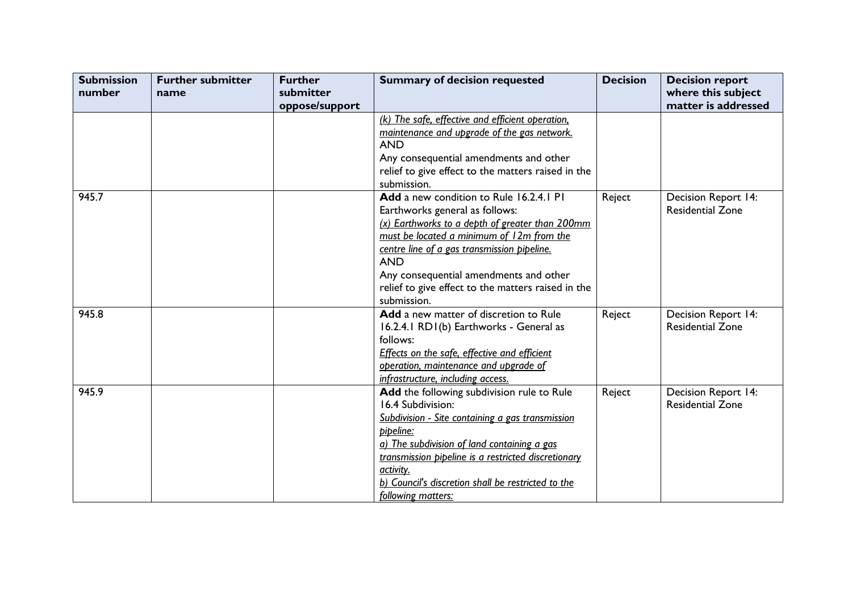| <b>Submission</b><br>number | <b>Further submitter</b><br>name | <b>Further</b><br>submitter | <b>Summary of decision requested</b>                | <b>Decision</b> | <b>Decision report</b><br>where this subject |
|-----------------------------|----------------------------------|-----------------------------|-----------------------------------------------------|-----------------|----------------------------------------------|
|                             |                                  | oppose/support              |                                                     |                 | matter is addressed                          |
|                             |                                  |                             | (k) The safe, effective and efficient operation,    |                 |                                              |
|                             |                                  |                             | maintenance and upgrade of the gas network.         |                 |                                              |
|                             |                                  |                             | <b>AND</b>                                          |                 |                                              |
|                             |                                  |                             | Any consequential amendments and other              |                 |                                              |
|                             |                                  |                             | relief to give effect to the matters raised in the  |                 |                                              |
|                             |                                  |                             | submission.                                         |                 |                                              |
| 945.7                       |                                  |                             | Add a new condition to Rule 16.2.4.1 PI             | Reject          | Decision Report 14:                          |
|                             |                                  |                             | Earthworks general as follows:                      |                 | <b>Residential Zone</b>                      |
|                             |                                  |                             | (x) Earthworks to a depth of greater than 200mm     |                 |                                              |
|                             |                                  |                             | must be located a minimum of 12m from the           |                 |                                              |
|                             |                                  |                             | centre line of a gas transmission pipeline.         |                 |                                              |
|                             |                                  |                             | <b>AND</b>                                          |                 |                                              |
|                             |                                  |                             | Any consequential amendments and other              |                 |                                              |
|                             |                                  |                             | relief to give effect to the matters raised in the  |                 |                                              |
|                             |                                  |                             | submission.                                         |                 |                                              |
| 945.8                       |                                  |                             | Add a new matter of discretion to Rule              | Reject          | Decision Report 14:                          |
|                             |                                  |                             | 16.2.4.1 RD1(b) Earthworks - General as             |                 | <b>Residential Zone</b>                      |
|                             |                                  |                             | follows:                                            |                 |                                              |
|                             |                                  |                             | Effects on the safe, effective and efficient        |                 |                                              |
|                             |                                  |                             | operation, maintenance and upgrade of               |                 |                                              |
|                             |                                  |                             | infrastructure, including access.                   |                 |                                              |
| 945.9                       |                                  |                             | Add the following subdivision rule to Rule          | Reject          | <b>Decision Report 14:</b>                   |
|                             |                                  |                             | 16.4 Subdivision:                                   |                 | <b>Residential Zone</b>                      |
|                             |                                  |                             | Subdivision - Site containing a gas transmission    |                 |                                              |
|                             |                                  |                             | pipeline:                                           |                 |                                              |
|                             |                                  |                             | a) The subdivision of land containing a gas         |                 |                                              |
|                             |                                  |                             | transmission pipeline is a restricted discretionary |                 |                                              |
|                             |                                  |                             | activity.                                           |                 |                                              |
|                             |                                  |                             | b) Council's discretion shall be restricted to the  |                 |                                              |
|                             |                                  |                             | following matters:                                  |                 |                                              |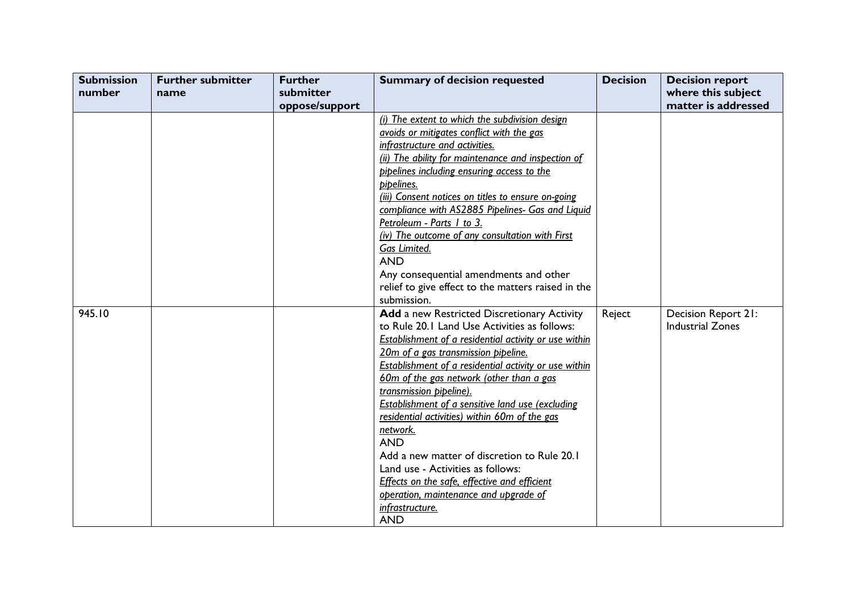| <b>Submission</b> | <b>Further submitter</b> | <b>Further</b> | <b>Summary of decision requested</b>                         | <b>Decision</b> | <b>Decision report</b>  |
|-------------------|--------------------------|----------------|--------------------------------------------------------------|-----------------|-------------------------|
| number            | name                     | submitter      |                                                              |                 | where this subject      |
|                   |                          | oppose/support |                                                              |                 | matter is addressed     |
|                   |                          |                | (i) The extent to which the subdivision design               |                 |                         |
|                   |                          |                | avoids or mitigates conflict with the gas                    |                 |                         |
|                   |                          |                | infrastructure and activities.                               |                 |                         |
|                   |                          |                | (ii) The ability for maintenance and inspection of           |                 |                         |
|                   |                          |                | pipelines including ensuring access to the                   |                 |                         |
|                   |                          |                | pipelines.                                                   |                 |                         |
|                   |                          |                | (iii) Consent notices on titles to ensure on-going           |                 |                         |
|                   |                          |                | compliance with AS2885 Pipelines- Gas and Liquid             |                 |                         |
|                   |                          |                | Petroleum - Parts 1 to 3.                                    |                 |                         |
|                   |                          |                | (iv) The outcome of any consultation with First              |                 |                         |
|                   |                          |                | Gas Limited.                                                 |                 |                         |
|                   |                          |                | <b>AND</b>                                                   |                 |                         |
|                   |                          |                | Any consequential amendments and other                       |                 |                         |
|                   |                          |                | relief to give effect to the matters raised in the           |                 |                         |
|                   |                          |                | submission.                                                  |                 |                         |
| 945.10            |                          |                | Add a new Restricted Discretionary Activity                  | Reject          | Decision Report 21:     |
|                   |                          |                | to Rule 20.1 Land Use Activities as follows:                 |                 | <b>Industrial Zones</b> |
|                   |                          |                | <b>Establishment of a residential activity or use within</b> |                 |                         |
|                   |                          |                | 20m of a gas transmission pipeline.                          |                 |                         |
|                   |                          |                | <b>Establishment of a residential activity or use within</b> |                 |                         |
|                   |                          |                | 60m of the gas network (other than a gas                     |                 |                         |
|                   |                          |                | transmission pipeline).                                      |                 |                         |
|                   |                          |                | Establishment of a sensitive land use (excluding             |                 |                         |
|                   |                          |                | residential activities) within 60m of the gas                |                 |                         |
|                   |                          |                | network.                                                     |                 |                         |
|                   |                          |                | <b>AND</b>                                                   |                 |                         |
|                   |                          |                | Add a new matter of discretion to Rule 20.1                  |                 |                         |
|                   |                          |                | Land use - Activities as follows:                            |                 |                         |
|                   |                          |                | Effects on the safe, effective and efficient                 |                 |                         |
|                   |                          |                | operation, maintenance and upgrade of                        |                 |                         |
|                   |                          |                | infrastructure.                                              |                 |                         |
|                   |                          |                | <b>AND</b>                                                   |                 |                         |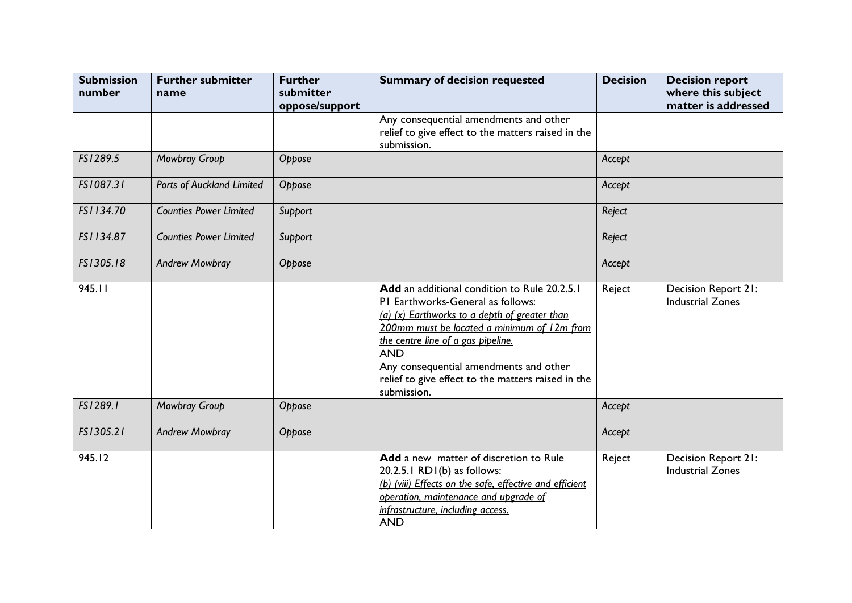| <b>Submission</b><br>number | <b>Further submitter</b><br>name | <b>Further</b><br>submitter<br>oppose/support | <b>Summary of decision requested</b>                                                                                                                                                                                                                                                                                                                 | <b>Decision</b> | <b>Decision report</b><br>where this subject<br>matter is addressed |
|-----------------------------|----------------------------------|-----------------------------------------------|------------------------------------------------------------------------------------------------------------------------------------------------------------------------------------------------------------------------------------------------------------------------------------------------------------------------------------------------------|-----------------|---------------------------------------------------------------------|
|                             |                                  |                                               | Any consequential amendments and other<br>relief to give effect to the matters raised in the<br>submission.                                                                                                                                                                                                                                          |                 |                                                                     |
| FS1289.5                    | Mowbray Group                    | Oppose                                        |                                                                                                                                                                                                                                                                                                                                                      | Accept          |                                                                     |
| FS1087.31                   | Ports of Auckland Limited        | Oppose                                        |                                                                                                                                                                                                                                                                                                                                                      | Accept          |                                                                     |
| FS1134.70                   | <b>Counties Power Limited</b>    | Support                                       |                                                                                                                                                                                                                                                                                                                                                      | Reject          |                                                                     |
| FS1134.87                   | <b>Counties Power Limited</b>    | Support                                       |                                                                                                                                                                                                                                                                                                                                                      | Reject          |                                                                     |
| FS1305.18                   | <b>Andrew Mowbray</b>            | Oppose                                        |                                                                                                                                                                                                                                                                                                                                                      | Accept          |                                                                     |
| 945.11                      |                                  |                                               | Add an additional condition to Rule 20.2.5.1<br>PI Earthworks-General as follows:<br>(a) (x) Earthworks to a depth of greater than<br>200mm must be located a minimum of 12m from<br>the centre line of a gas pipeline.<br><b>AND</b><br>Any consequential amendments and other<br>relief to give effect to the matters raised in the<br>submission. | Reject          | Decision Report 21:<br><b>Industrial Zones</b>                      |
| FS1289.1                    | Mowbray Group                    | Oppose                                        |                                                                                                                                                                                                                                                                                                                                                      | Accept          |                                                                     |
| FS1305.21                   | <b>Andrew Mowbray</b>            | Oppose                                        |                                                                                                                                                                                                                                                                                                                                                      | Accept          |                                                                     |
| 945.12                      |                                  |                                               | Add a new matter of discretion to Rule<br>20.2.5.1 RD1(b) as follows:<br>(b) (viii) Effects on the safe, effective and efficient<br>operation, maintenance and upgrade of<br>infrastructure, including access.<br><b>AND</b>                                                                                                                         | Reject          | Decision Report 21:<br><b>Industrial Zones</b>                      |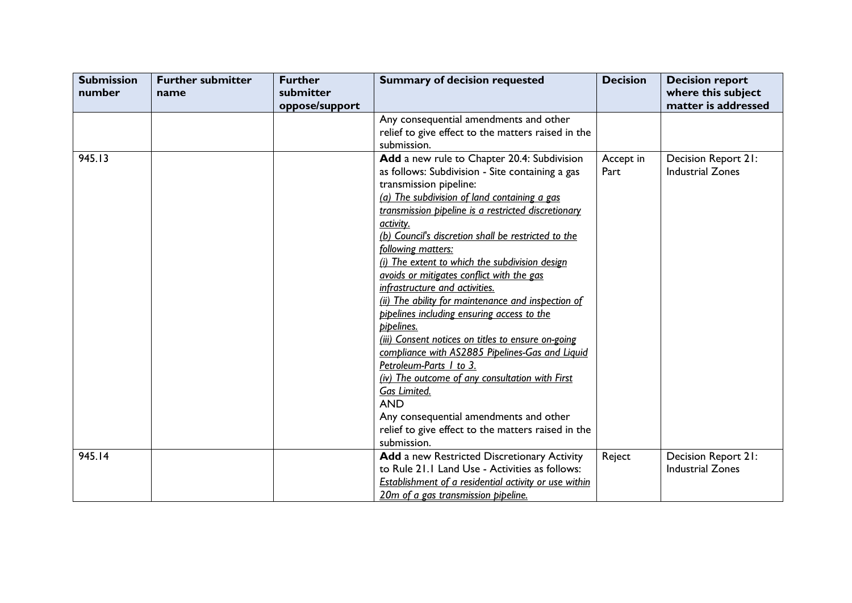| <b>Submission</b><br>number | <b>Further submitter</b><br>name | <b>Further</b><br>submitter | <b>Summary of decision requested</b>                  | <b>Decision</b> | <b>Decision report</b><br>where this subject |
|-----------------------------|----------------------------------|-----------------------------|-------------------------------------------------------|-----------------|----------------------------------------------|
|                             |                                  | oppose/support              |                                                       |                 | matter is addressed                          |
|                             |                                  |                             | Any consequential amendments and other                |                 |                                              |
|                             |                                  |                             | relief to give effect to the matters raised in the    |                 |                                              |
|                             |                                  |                             | submission.                                           |                 |                                              |
| 945.13                      |                                  |                             | Add a new rule to Chapter 20.4: Subdivision           | Accept in       | Decision Report 21:                          |
|                             |                                  |                             | as follows: Subdivision - Site containing a gas       | Part            | <b>Industrial Zones</b>                      |
|                             |                                  |                             | transmission pipeline:                                |                 |                                              |
|                             |                                  |                             | (a) The subdivision of land containing a gas          |                 |                                              |
|                             |                                  |                             | transmission pipeline is a restricted discretionary   |                 |                                              |
|                             |                                  |                             | activity.                                             |                 |                                              |
|                             |                                  |                             | (b) Council's discretion shall be restricted to the   |                 |                                              |
|                             |                                  |                             | following matters:                                    |                 |                                              |
|                             |                                  |                             | (i) The extent to which the subdivision design        |                 |                                              |
|                             |                                  |                             | avoids or mitigates conflict with the gas             |                 |                                              |
|                             |                                  |                             | infrastructure and activities.                        |                 |                                              |
|                             |                                  |                             | (ii) The ability for maintenance and inspection of    |                 |                                              |
|                             |                                  |                             | pipelines including ensuring access to the            |                 |                                              |
|                             |                                  |                             | pipelines.                                            |                 |                                              |
|                             |                                  |                             | (iii) Consent notices on titles to ensure on-going    |                 |                                              |
|                             |                                  |                             | compliance with AS2885 Pipelines-Gas and Liquid       |                 |                                              |
|                             |                                  |                             | Petroleum-Parts 1 to 3.                               |                 |                                              |
|                             |                                  |                             | (iv) The outcome of any consultation with First       |                 |                                              |
|                             |                                  |                             | Gas Limited.                                          |                 |                                              |
|                             |                                  |                             | <b>AND</b>                                            |                 |                                              |
|                             |                                  |                             | Any consequential amendments and other                |                 |                                              |
|                             |                                  |                             | relief to give effect to the matters raised in the    |                 |                                              |
|                             |                                  |                             | submission.                                           |                 |                                              |
| 945.14                      |                                  |                             | Add a new Restricted Discretionary Activity           | Reject          | Decision Report 21:                          |
|                             |                                  |                             | to Rule 21.1 Land Use - Activities as follows:        |                 | <b>Industrial Zones</b>                      |
|                             |                                  |                             | Establishment of a residential activity or use within |                 |                                              |
|                             |                                  |                             | 20m of a gas transmission pipeline.                   |                 |                                              |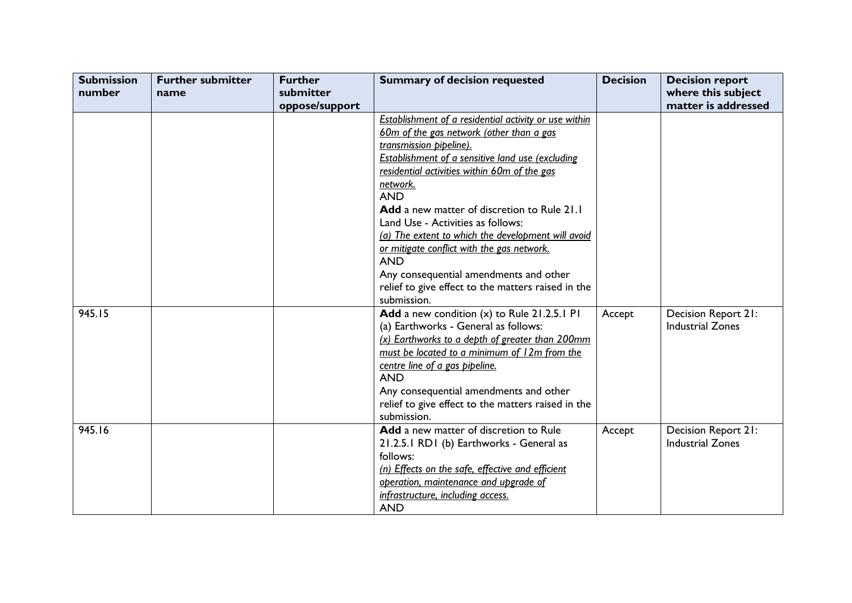| <b>Submission</b> | <b>Further submitter</b> | <b>Further</b> | <b>Summary of decision requested</b>                  | <b>Decision</b> | <b>Decision report</b>  |
|-------------------|--------------------------|----------------|-------------------------------------------------------|-----------------|-------------------------|
| number            | name                     | submitter      |                                                       |                 | where this subject      |
|                   |                          | oppose/support |                                                       |                 | matter is addressed     |
|                   |                          |                | Establishment of a residential activity or use within |                 |                         |
|                   |                          |                | 60m of the gas network (other than a gas              |                 |                         |
|                   |                          |                | transmission pipeline).                               |                 |                         |
|                   |                          |                | Establishment of a sensitive land use (excluding      |                 |                         |
|                   |                          |                | residential activities within 60m of the gas          |                 |                         |
|                   |                          |                | network.                                              |                 |                         |
|                   |                          |                | <b>AND</b>                                            |                 |                         |
|                   |                          |                | Add a new matter of discretion to Rule 21.1           |                 |                         |
|                   |                          |                | Land Use - Activities as follows:                     |                 |                         |
|                   |                          |                | (a) The extent to which the development will avoid    |                 |                         |
|                   |                          |                | or mitigate conflict with the gas network.            |                 |                         |
|                   |                          |                | <b>AND</b>                                            |                 |                         |
|                   |                          |                | Any consequential amendments and other                |                 |                         |
|                   |                          |                | relief to give effect to the matters raised in the    |                 |                         |
|                   |                          |                | submission.                                           |                 |                         |
| 945.15            |                          |                | Add a new condition (x) to Rule 21.2.5.1 PI           | Accept          | Decision Report 21:     |
|                   |                          |                | (a) Earthworks - General as follows:                  |                 | <b>Industrial Zones</b> |
|                   |                          |                | (x) Earthworks to a depth of greater than 200mm       |                 |                         |
|                   |                          |                | must be located to a minimum of 12m from the          |                 |                         |
|                   |                          |                | centre line of a gas pipeline.                        |                 |                         |
|                   |                          |                | <b>AND</b>                                            |                 |                         |
|                   |                          |                | Any consequential amendments and other                |                 |                         |
|                   |                          |                | relief to give effect to the matters raised in the    |                 |                         |
|                   |                          |                | submission.                                           |                 |                         |
| 945.16            |                          |                | Add a new matter of discretion to Rule                | Accept          | Decision Report 21:     |
|                   |                          |                | 21.2.5.1 RD1 (b) Earthworks - General as              |                 | <b>Industrial Zones</b> |
|                   |                          |                | follows:                                              |                 |                         |
|                   |                          |                | (n) Effects on the safe, effective and efficient      |                 |                         |
|                   |                          |                | operation, maintenance and upgrade of                 |                 |                         |
|                   |                          |                | infrastructure, including access.                     |                 |                         |
|                   |                          |                | <b>AND</b>                                            |                 |                         |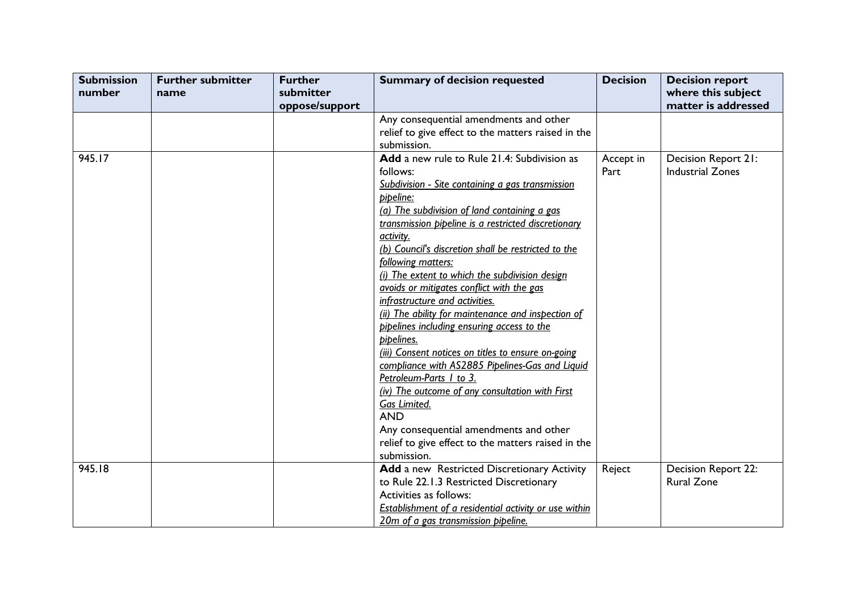| <b>Submission</b> | <b>Further submitter</b> | <b>Further</b> | <b>Summary of decision requested</b>                  | <b>Decision</b> | <b>Decision report</b>  |
|-------------------|--------------------------|----------------|-------------------------------------------------------|-----------------|-------------------------|
| number            | name                     | submitter      |                                                       |                 | where this subject      |
|                   |                          | oppose/support |                                                       |                 | matter is addressed     |
|                   |                          |                | Any consequential amendments and other                |                 |                         |
|                   |                          |                | relief to give effect to the matters raised in the    |                 |                         |
|                   |                          |                | submission.                                           |                 |                         |
| 945.17            |                          |                | Add a new rule to Rule 21.4: Subdivision as           | Accept in       | Decision Report 21:     |
|                   |                          |                | follows:                                              | Part            | <b>Industrial Zones</b> |
|                   |                          |                | Subdivision - Site containing a gas transmission      |                 |                         |
|                   |                          |                | pipeline:                                             |                 |                         |
|                   |                          |                | (a) The subdivision of land containing a gas          |                 |                         |
|                   |                          |                | transmission pipeline is a restricted discretionary   |                 |                         |
|                   |                          |                | activity.                                             |                 |                         |
|                   |                          |                | (b) Council's discretion shall be restricted to the   |                 |                         |
|                   |                          |                | following matters:                                    |                 |                         |
|                   |                          |                | (i) The extent to which the subdivision design        |                 |                         |
|                   |                          |                | avoids or mitigates conflict with the gas             |                 |                         |
|                   |                          |                | infrastructure and activities.                        |                 |                         |
|                   |                          |                | (ii) The ability for maintenance and inspection of    |                 |                         |
|                   |                          |                | pipelines including ensuring access to the            |                 |                         |
|                   |                          |                | pipelines.                                            |                 |                         |
|                   |                          |                | (iii) Consent notices on titles to ensure on-going    |                 |                         |
|                   |                          |                | compliance with AS2885 Pipelines-Gas and Liquid       |                 |                         |
|                   |                          |                | Petroleum-Parts 1 to 3.                               |                 |                         |
|                   |                          |                | (iv) The outcome of any consultation with First       |                 |                         |
|                   |                          |                | Gas Limited.                                          |                 |                         |
|                   |                          |                | <b>AND</b>                                            |                 |                         |
|                   |                          |                | Any consequential amendments and other                |                 |                         |
|                   |                          |                | relief to give effect to the matters raised in the    |                 |                         |
|                   |                          |                | submission.                                           |                 |                         |
| 945.18            |                          |                | Add a new Restricted Discretionary Activity           | Reject          | Decision Report 22:     |
|                   |                          |                | to Rule 22.1.3 Restricted Discretionary               |                 | <b>Rural Zone</b>       |
|                   |                          |                | Activities as follows:                                |                 |                         |
|                   |                          |                | Establishment of a residential activity or use within |                 |                         |
|                   |                          |                | 20m of a gas transmission pipeline.                   |                 |                         |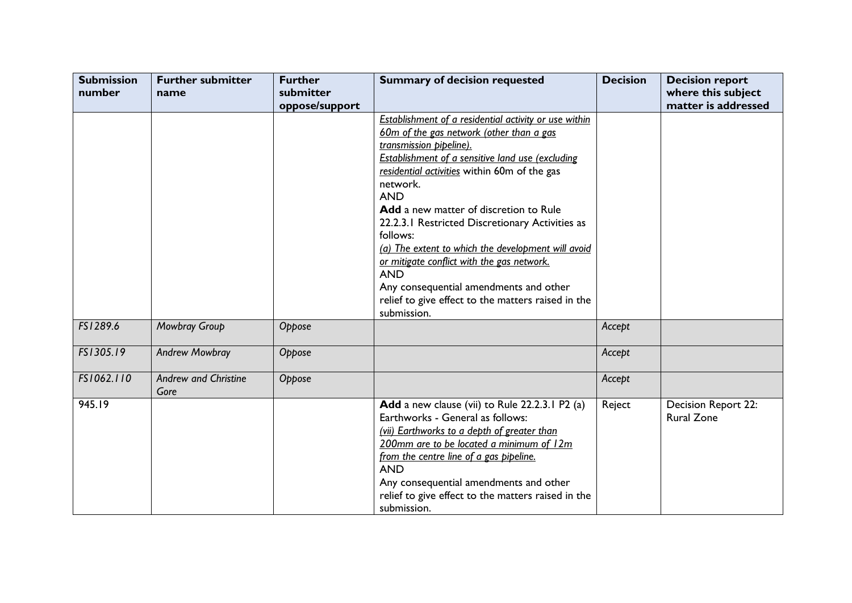| <b>Submission</b><br>number | <b>Further submitter</b><br>name    | <b>Further</b><br>submitter | <b>Summary of decision requested</b>                                                                                                                                                                                                                                                                                                                                                                                                                                                                                                                                                                               | <b>Decision</b> | <b>Decision report</b><br>where this subject |
|-----------------------------|-------------------------------------|-----------------------------|--------------------------------------------------------------------------------------------------------------------------------------------------------------------------------------------------------------------------------------------------------------------------------------------------------------------------------------------------------------------------------------------------------------------------------------------------------------------------------------------------------------------------------------------------------------------------------------------------------------------|-----------------|----------------------------------------------|
|                             |                                     | oppose/support              |                                                                                                                                                                                                                                                                                                                                                                                                                                                                                                                                                                                                                    |                 | matter is addressed                          |
|                             |                                     |                             | <b>Establishment of a residential activity or use within</b><br>60m of the gas network (other than a gas<br>transmission pipeline).<br><b>Establishment of a sensitive land use (excluding</b><br>residential activities within 60m of the gas<br>network.<br><b>AND</b><br>Add a new matter of discretion to Rule<br>22.2.3.1 Restricted Discretionary Activities as<br>follows:<br>(a) The extent to which the development will avoid<br>or mitigate conflict with the gas network.<br><b>AND</b><br>Any consequential amendments and other<br>relief to give effect to the matters raised in the<br>submission. |                 |                                              |
| FS1289.6                    | Mowbray Group                       | Oppose                      |                                                                                                                                                                                                                                                                                                                                                                                                                                                                                                                                                                                                                    | Accept          |                                              |
| FS1305.19                   | <b>Andrew Mowbray</b>               | Oppose                      |                                                                                                                                                                                                                                                                                                                                                                                                                                                                                                                                                                                                                    | Accept          |                                              |
| FS1062.110                  | <b>Andrew and Christine</b><br>Gore | Oppose                      |                                                                                                                                                                                                                                                                                                                                                                                                                                                                                                                                                                                                                    | Accept          |                                              |
| 945.19                      |                                     |                             | Add a new clause (vii) to Rule 22.2.3.1 P2 (a)<br>Earthworks - General as follows:<br>(vii) Earthworks to a depth of greater than<br>200mm are to be located a minimum of 12m<br>from the centre line of a gas pipeline.<br><b>AND</b><br>Any consequential amendments and other<br>relief to give effect to the matters raised in the<br>submission.                                                                                                                                                                                                                                                              | Reject          | Decision Report 22:<br><b>Rural Zone</b>     |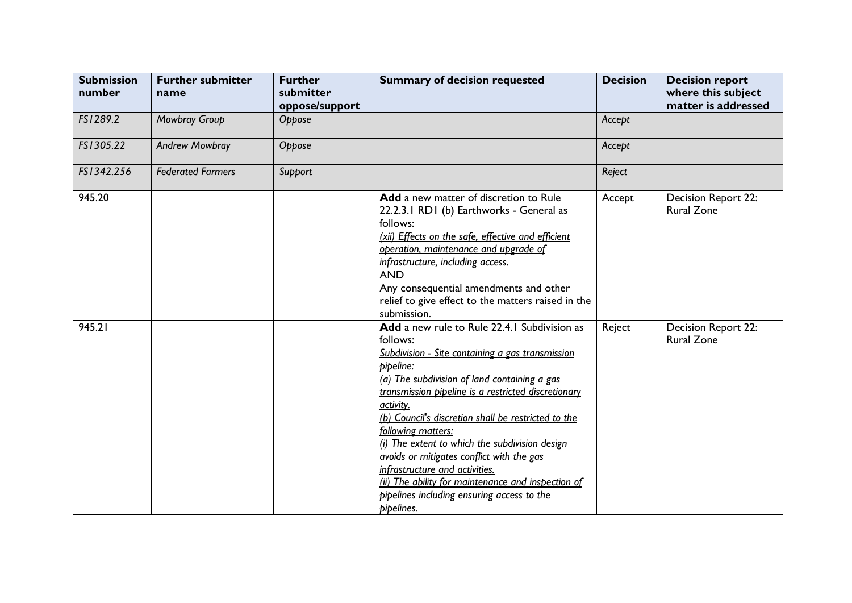| <b>Submission</b><br>number | <b>Further submitter</b><br>name | <b>Further</b><br>submitter<br>oppose/support | <b>Summary of decision requested</b>                                                                                                                                                                                                                                                                                                                                                                                                                                                                                                                                          | <b>Decision</b> | <b>Decision report</b><br>where this subject<br>matter is addressed |
|-----------------------------|----------------------------------|-----------------------------------------------|-------------------------------------------------------------------------------------------------------------------------------------------------------------------------------------------------------------------------------------------------------------------------------------------------------------------------------------------------------------------------------------------------------------------------------------------------------------------------------------------------------------------------------------------------------------------------------|-----------------|---------------------------------------------------------------------|
| FS1289.2                    | Mowbray Group                    | Oppose                                        |                                                                                                                                                                                                                                                                                                                                                                                                                                                                                                                                                                               | Accept          |                                                                     |
| FS1305.22                   | <b>Andrew Mowbray</b>            | Oppose                                        |                                                                                                                                                                                                                                                                                                                                                                                                                                                                                                                                                                               | Accept          |                                                                     |
| FS1342.256                  | <b>Federated Farmers</b>         | Support                                       |                                                                                                                                                                                                                                                                                                                                                                                                                                                                                                                                                                               | Reject          |                                                                     |
| 945.20                      |                                  |                                               | Add a new matter of discretion to Rule<br>22.2.3.1 RD1 (b) Earthworks - General as<br>follows:<br>(xii) Effects on the safe, effective and efficient<br>operation, maintenance and upgrade of<br>infrastructure, including access.<br><b>AND</b><br>Any consequential amendments and other<br>relief to give effect to the matters raised in the<br>submission.                                                                                                                                                                                                               | Accept          | Decision Report 22:<br><b>Rural Zone</b>                            |
| 945.21                      |                                  |                                               | Add a new rule to Rule 22.4.1 Subdivision as<br>follows:<br>Subdivision - Site containing a gas transmission<br>pipeline:<br>(a) The subdivision of land containing a gas<br>transmission pipeline is a restricted discretionary<br>activity.<br>(b) Council's discretion shall be restricted to the<br>following matters:<br>(i) The extent to which the subdivision design<br>avoids or mitigates conflict with the gas<br>infrastructure and activities.<br>(ii) The ability for maintenance and inspection of<br>pipelines including ensuring access to the<br>pipelines. | Reject          | Decision Report 22:<br><b>Rural Zone</b>                            |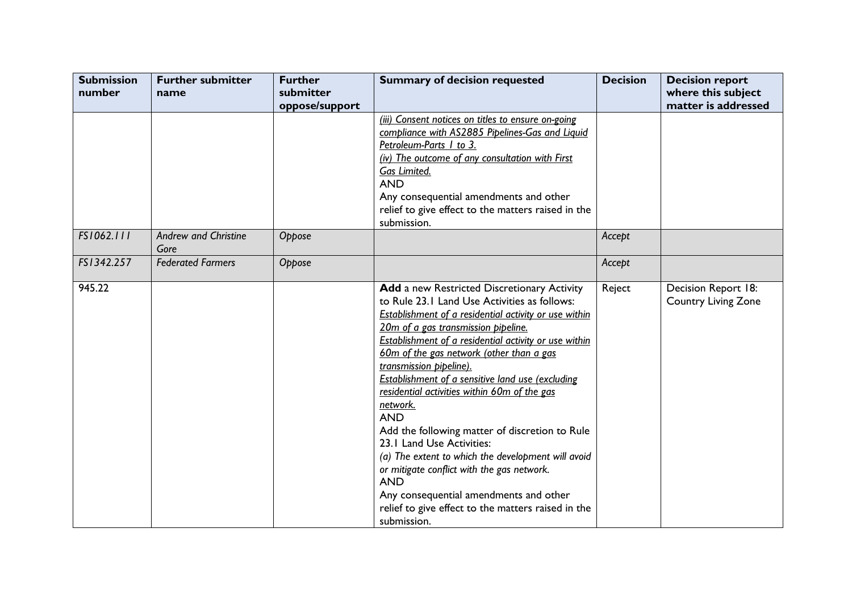| <b>Submission</b><br>number | <b>Further submitter</b><br>name    | <b>Further</b><br>submitter<br>oppose/support | <b>Summary of decision requested</b>                                                                                                                                                                                                                                                                                                                                                                                                                                                                                                                                                                                                                                                                                                                                                    | <b>Decision</b> | <b>Decision report</b><br>where this subject<br>matter is addressed |
|-----------------------------|-------------------------------------|-----------------------------------------------|-----------------------------------------------------------------------------------------------------------------------------------------------------------------------------------------------------------------------------------------------------------------------------------------------------------------------------------------------------------------------------------------------------------------------------------------------------------------------------------------------------------------------------------------------------------------------------------------------------------------------------------------------------------------------------------------------------------------------------------------------------------------------------------------|-----------------|---------------------------------------------------------------------|
|                             |                                     |                                               | (iii) Consent notices on titles to ensure on-going<br>compliance with AS2885 Pipelines-Gas and Liquid<br>Petroleum-Parts 1 to 3.<br>(iv) The outcome of any consultation with First<br>Gas Limited.<br><b>AND</b><br>Any consequential amendments and other<br>relief to give effect to the matters raised in the<br>submission.                                                                                                                                                                                                                                                                                                                                                                                                                                                        |                 |                                                                     |
| FS1062.111                  | <b>Andrew and Christine</b><br>Gore | Oppose                                        |                                                                                                                                                                                                                                                                                                                                                                                                                                                                                                                                                                                                                                                                                                                                                                                         | Accept          |                                                                     |
| FS1342.257                  | <b>Federated Farmers</b>            | Oppose                                        |                                                                                                                                                                                                                                                                                                                                                                                                                                                                                                                                                                                                                                                                                                                                                                                         | Accept          |                                                                     |
| 945.22                      |                                     |                                               | Add a new Restricted Discretionary Activity<br>to Rule 23.1 Land Use Activities as follows:<br><b>Establishment of a residential activity or use within</b><br>20m of a gas transmission pipeline.<br><b>Establishment of a residential activity or use within</b><br>60m of the gas network (other than a gas<br>transmission pipeline).<br>Establishment of a sensitive land use (excluding<br>residential activities within 60m of the gas<br>network.<br><b>AND</b><br>Add the following matter of discretion to Rule<br>23.1 Land Use Activities:<br>(a) The extent to which the development will avoid<br>or mitigate conflict with the gas network.<br><b>AND</b><br>Any consequential amendments and other<br>relief to give effect to the matters raised in the<br>submission. | Reject          | Decision Report 18:<br><b>Country Living Zone</b>                   |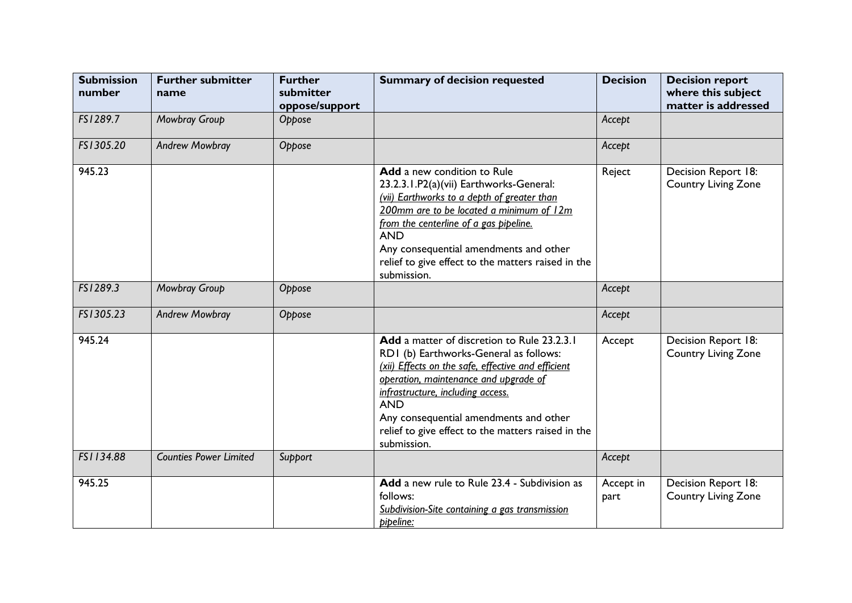| <b>Submission</b><br>number | <b>Further submitter</b><br>name | <b>Further</b><br>submitter<br>oppose/support | <b>Summary of decision requested</b>                                                                                                                                                                                                                                                                                                                   | <b>Decision</b>   | <b>Decision report</b><br>where this subject<br>matter is addressed |
|-----------------------------|----------------------------------|-----------------------------------------------|--------------------------------------------------------------------------------------------------------------------------------------------------------------------------------------------------------------------------------------------------------------------------------------------------------------------------------------------------------|-------------------|---------------------------------------------------------------------|
| FS1289.7                    | Mowbray Group                    | Oppose                                        |                                                                                                                                                                                                                                                                                                                                                        | Accept            |                                                                     |
| FS1305.20                   | <b>Andrew Mowbray</b>            | Oppose                                        |                                                                                                                                                                                                                                                                                                                                                        | Accept            |                                                                     |
| 945.23                      |                                  |                                               | <b>Add</b> a new condition to Rule<br>23.2.3.1.P2(a)(vii) Earthworks-General:<br>(vii) Earthworks to a depth of greater than<br>200mm are to be located a minimum of 12m<br>from the centerline of a gas pipeline.<br><b>AND</b><br>Any consequential amendments and other<br>relief to give effect to the matters raised in the<br>submission.        | Reject            | Decision Report 18:<br><b>Country Living Zone</b>                   |
| FS1289.3                    | Mowbray Group                    | Oppose                                        |                                                                                                                                                                                                                                                                                                                                                        | Accept            |                                                                     |
| FS1305.23                   | <b>Andrew Mowbray</b>            | Oppose                                        |                                                                                                                                                                                                                                                                                                                                                        | Accept            |                                                                     |
| 945.24                      |                                  |                                               | Add a matter of discretion to Rule 23.2.3.1<br>RD1 (b) Earthworks-General as follows:<br>(xii) Effects on the safe, effective and efficient<br>operation, maintenance and upgrade of<br>infrastructure, including access.<br><b>AND</b><br>Any consequential amendments and other<br>relief to give effect to the matters raised in the<br>submission. | Accept            | Decision Report 18:<br><b>Country Living Zone</b>                   |
| FS1134.88                   | <b>Counties Power Limited</b>    | Support                                       |                                                                                                                                                                                                                                                                                                                                                        | Accept            |                                                                     |
| 945.25                      |                                  |                                               | Add a new rule to Rule 23.4 - Subdivision as<br>follows:<br>Subdivision-Site containing a gas transmission<br>pipeline:                                                                                                                                                                                                                                | Accept in<br>part | Decision Report 18:<br><b>Country Living Zone</b>                   |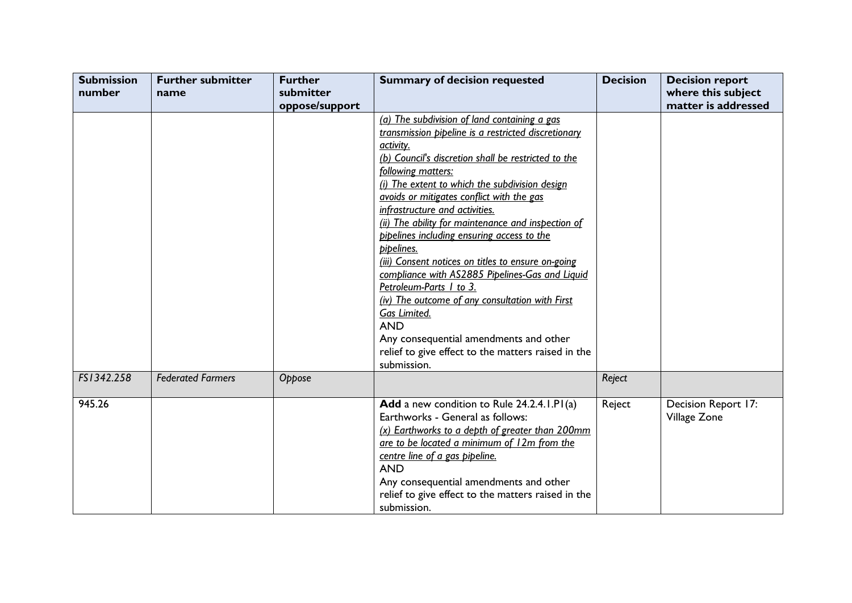| <b>Submission</b><br>number | <b>Further submitter</b><br>name | <b>Further</b><br>submitter | <b>Summary of decision requested</b>                                                                                                                                                                                                                                                                                                                                                                                                                                                                                                                                                                                                                                                                                                                                                 | <b>Decision</b> | <b>Decision report</b><br>where this subject |
|-----------------------------|----------------------------------|-----------------------------|--------------------------------------------------------------------------------------------------------------------------------------------------------------------------------------------------------------------------------------------------------------------------------------------------------------------------------------------------------------------------------------------------------------------------------------------------------------------------------------------------------------------------------------------------------------------------------------------------------------------------------------------------------------------------------------------------------------------------------------------------------------------------------------|-----------------|----------------------------------------------|
|                             |                                  | oppose/support              |                                                                                                                                                                                                                                                                                                                                                                                                                                                                                                                                                                                                                                                                                                                                                                                      |                 | matter is addressed                          |
|                             |                                  |                             | (a) The subdivision of land containing a gas<br>transmission pipeline is a restricted discretionary<br>activity.<br>(b) Council's discretion shall be restricted to the<br>following matters:<br>(i) The extent to which the subdivision design<br>avoids or mitigates conflict with the gas<br>infrastructure and activities.<br>(ii) The ability for maintenance and inspection of<br>pipelines including ensuring access to the<br>pipelines.<br>(iii) Consent notices on titles to ensure on-going<br>compliance with AS2885 Pipelines-Gas and Liquid<br>Petroleum-Parts 1 to 3.<br>(iv) The outcome of any consultation with First<br>Gas Limited.<br><b>AND</b><br>Any consequential amendments and other<br>relief to give effect to the matters raised in the<br>submission. |                 |                                              |
| FS1342.258                  | <b>Federated Farmers</b>         | Oppose                      |                                                                                                                                                                                                                                                                                                                                                                                                                                                                                                                                                                                                                                                                                                                                                                                      | Reject          |                                              |
| 945.26                      |                                  |                             | Add a new condition to Rule 24.2.4.1.P1(a)<br>Earthworks - General as follows:<br>(x) Earthworks to a depth of greater than 200mm<br>are to be located a minimum of 12m from the<br>centre line of a gas pipeline.<br><b>AND</b><br>Any consequential amendments and other<br>relief to give effect to the matters raised in the<br>submission.                                                                                                                                                                                                                                                                                                                                                                                                                                      | Reject          | Decision Report 17:<br>Village Zone          |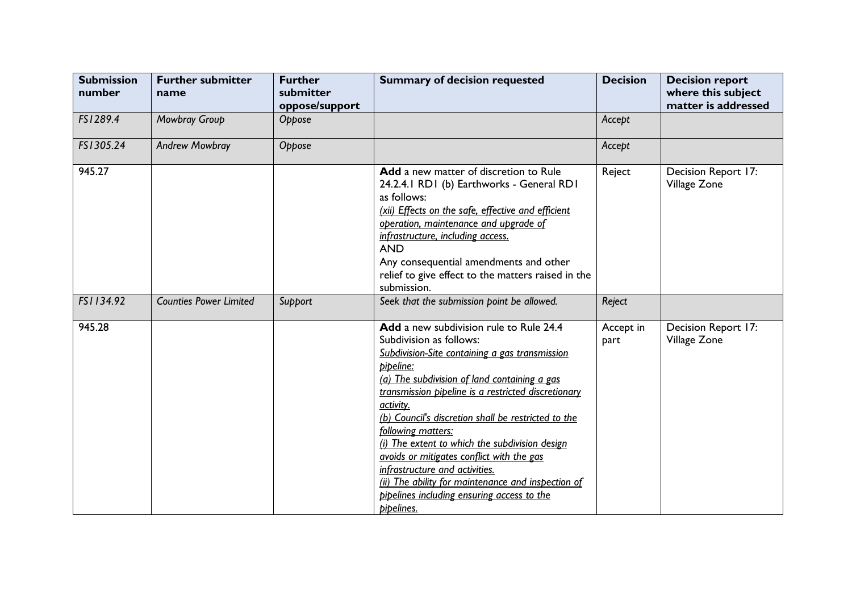| <b>Submission</b><br>number | <b>Further submitter</b><br>name | <b>Further</b><br>submitter<br>oppose/support | <b>Summary of decision requested</b>                                                                                                                                                                                                                                                                                                                                                                                                                                                                                                                                                  | <b>Decision</b>   | <b>Decision report</b><br>where this subject<br>matter is addressed |
|-----------------------------|----------------------------------|-----------------------------------------------|---------------------------------------------------------------------------------------------------------------------------------------------------------------------------------------------------------------------------------------------------------------------------------------------------------------------------------------------------------------------------------------------------------------------------------------------------------------------------------------------------------------------------------------------------------------------------------------|-------------------|---------------------------------------------------------------------|
| FS1289.4                    | Mowbray Group                    | Oppose                                        |                                                                                                                                                                                                                                                                                                                                                                                                                                                                                                                                                                                       | Accept            |                                                                     |
| FS1305.24                   | <b>Andrew Mowbray</b>            | Oppose                                        |                                                                                                                                                                                                                                                                                                                                                                                                                                                                                                                                                                                       | Accept            |                                                                     |
| 945.27                      |                                  |                                               | Add a new matter of discretion to Rule<br>24.2.4.1 RD1 (b) Earthworks - General RD1<br>as follows:<br>(xii) Effects on the safe, effective and efficient<br>operation, maintenance and upgrade of<br>infrastructure, including access.<br><b>AND</b><br>Any consequential amendments and other<br>relief to give effect to the matters raised in the<br>submission.                                                                                                                                                                                                                   | Reject            | Decision Report 17:<br>Village Zone                                 |
| FS1134.92                   | <b>Counties Power Limited</b>    | Support                                       | Seek that the submission point be allowed.                                                                                                                                                                                                                                                                                                                                                                                                                                                                                                                                            | Reject            |                                                                     |
| 945.28                      |                                  |                                               | Add a new subdivision rule to Rule 24.4<br>Subdivision as follows:<br>Subdivision-Site containing a gas transmission<br>pipeline:<br>(a) The subdivision of land containing a gas<br>transmission pipeline is a restricted discretionary<br>activity.<br>(b) Council's discretion shall be restricted to the<br>following matters:<br>(i) The extent to which the subdivision design<br>gyoids or mitigates conflict with the gas<br>infrastructure and activities.<br>(ii) The ability for maintenance and inspection of<br>pipelines including ensuring access to the<br>pipelines. | Accept in<br>part | Decision Report 17:<br>Village Zone                                 |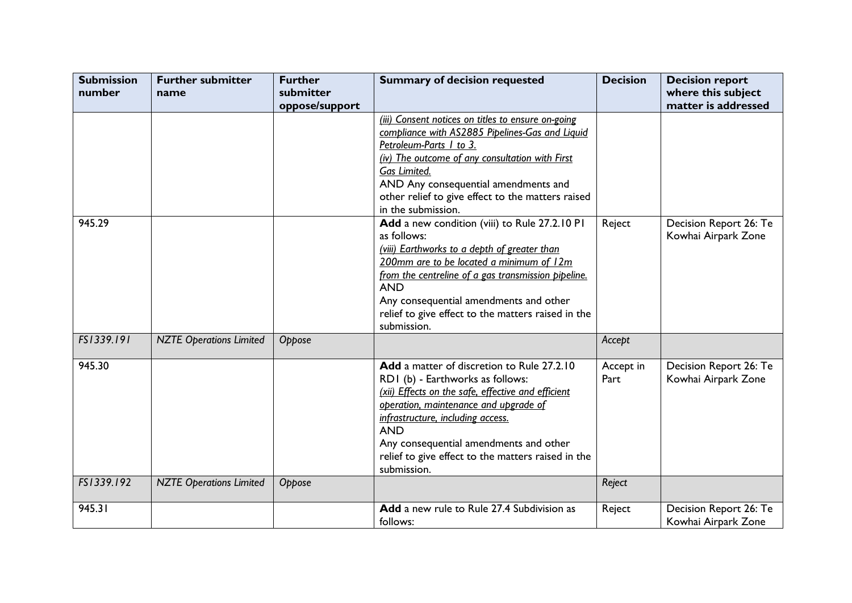| <b>Submission</b><br>number | <b>Further submitter</b><br>name | <b>Further</b><br>submitter | <b>Summary of decision requested</b>                                                                                                                                                                                                                                                                                                            | <b>Decision</b>   | <b>Decision report</b><br>where this subject  |
|-----------------------------|----------------------------------|-----------------------------|-------------------------------------------------------------------------------------------------------------------------------------------------------------------------------------------------------------------------------------------------------------------------------------------------------------------------------------------------|-------------------|-----------------------------------------------|
|                             |                                  | oppose/support              | (iii) Consent notices on titles to ensure on-going<br>compliance with AS2885 Pipelines-Gas and Liquid<br>Petroleum-Parts 1 to 3.<br>(iv) The outcome of any consultation with First<br>Gas Limited.<br>AND Any consequential amendments and<br>other relief to give effect to the matters raised<br>in the submission.                          |                   | matter is addressed                           |
| 945.29                      |                                  |                             | Add a new condition (viii) to Rule 27.2.10 PI<br>as follows:<br>(viii) Earthworks to a depth of greater than<br>200mm are to be located a minimum of 12m<br>from the centreline of a gas transmission pipeline.<br><b>AND</b><br>Any consequential amendments and other<br>relief to give effect to the matters raised in the<br>submission.    | Reject            | Decision Report 26: Te<br>Kowhai Airpark Zone |
| FS1339.191                  | <b>NZTE Operations Limited</b>   | Oppose                      |                                                                                                                                                                                                                                                                                                                                                 | Accept            |                                               |
| 945.30                      |                                  |                             | Add a matter of discretion to Rule 27.2.10<br>RD1 (b) - Earthworks as follows:<br>(xii) Effects on the safe, effective and efficient<br>operation, maintenance and upgrade of<br>infrastructure, including access.<br><b>AND</b><br>Any consequential amendments and other<br>relief to give effect to the matters raised in the<br>submission. | Accept in<br>Part | Decision Report 26: Te<br>Kowhai Airpark Zone |
| FS1339.192                  | <b>NZTE Operations Limited</b>   | Oppose                      |                                                                                                                                                                                                                                                                                                                                                 | Reject            |                                               |
| 945.31                      |                                  |                             | Add a new rule to Rule 27.4 Subdivision as<br>follows:                                                                                                                                                                                                                                                                                          | Reject            | Decision Report 26: Te<br>Kowhai Airpark Zone |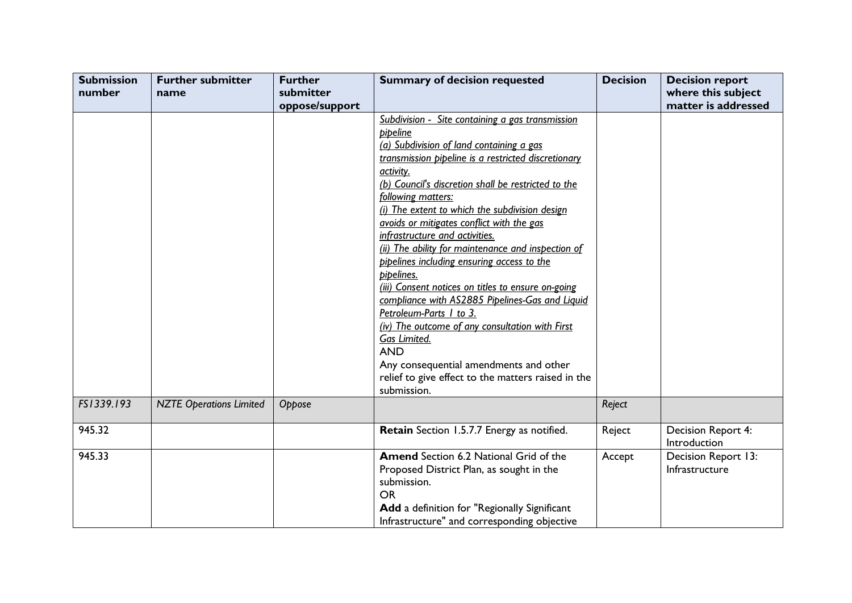| <b>Submission</b><br>number | <b>Further submitter</b><br>name | <b>Further</b><br>submitter | <b>Summary of decision requested</b>                                                                                                                                                                                                                                                                                                                                                                                                                                                                                                                                                                                                                                                                                                                                                                                                     | <b>Decision</b> | <b>Decision report</b><br>where this subject |
|-----------------------------|----------------------------------|-----------------------------|------------------------------------------------------------------------------------------------------------------------------------------------------------------------------------------------------------------------------------------------------------------------------------------------------------------------------------------------------------------------------------------------------------------------------------------------------------------------------------------------------------------------------------------------------------------------------------------------------------------------------------------------------------------------------------------------------------------------------------------------------------------------------------------------------------------------------------------|-----------------|----------------------------------------------|
|                             |                                  | oppose/support              |                                                                                                                                                                                                                                                                                                                                                                                                                                                                                                                                                                                                                                                                                                                                                                                                                                          |                 | matter is addressed                          |
|                             |                                  |                             | Subdivision - Site containing a gas transmission<br><b>pipeline</b><br>(a) Subdivision of land containing a gas<br>transmission pipeline is a restricted discretionary<br>activity.<br>(b) Council's discretion shall be restricted to the<br>following matters:<br>(i) The extent to which the subdivision design<br>avoids or mitigates conflict with the gas<br>infrastructure and activities.<br>(ii) The ability for maintenance and inspection of<br>pipelines including ensuring access to the<br>pipelines.<br>(iii) Consent notices on titles to ensure on-going<br>compliance with AS2885 Pipelines-Gas and Liquid<br>Petroleum-Parts I to 3.<br>(iv) The outcome of any consultation with First<br>Gas Limited.<br><b>AND</b><br>Any consequential amendments and other<br>relief to give effect to the matters raised in the |                 |                                              |
|                             |                                  |                             | submission.                                                                                                                                                                                                                                                                                                                                                                                                                                                                                                                                                                                                                                                                                                                                                                                                                              |                 |                                              |
| FS1339.193                  | <b>NZTE Operations Limited</b>   | Oppose                      |                                                                                                                                                                                                                                                                                                                                                                                                                                                                                                                                                                                                                                                                                                                                                                                                                                          | Reject          |                                              |
| 945.32                      |                                  |                             | Retain Section 1.5.7.7 Energy as notified.                                                                                                                                                                                                                                                                                                                                                                                                                                                                                                                                                                                                                                                                                                                                                                                               | Reject          | Decision Report 4:<br>Introduction           |
| 945.33                      |                                  |                             | <b>Amend</b> Section 6.2 National Grid of the<br>Proposed District Plan, as sought in the<br>submission.<br><b>OR</b><br>Add a definition for "Regionally Significant<br>Infrastructure" and corresponding objective                                                                                                                                                                                                                                                                                                                                                                                                                                                                                                                                                                                                                     | Accept          | Decision Report 13:<br>Infrastructure        |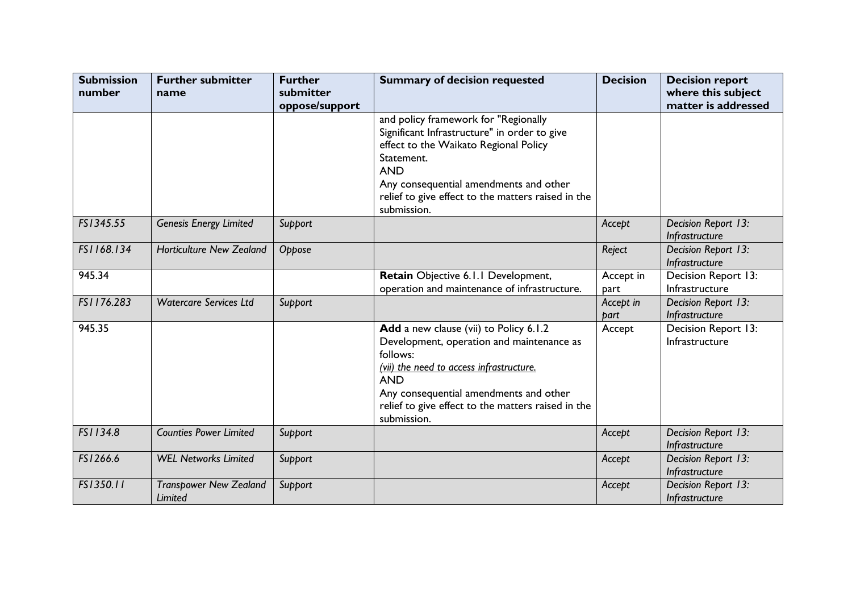| <b>Submission</b><br>number | <b>Further submitter</b><br>name         | <b>Further</b><br>submitter<br>oppose/support | <b>Summary of decision requested</b>                                                                                                                                                                                                                                     | <b>Decision</b>   | <b>Decision report</b><br>where this subject<br>matter is addressed |
|-----------------------------|------------------------------------------|-----------------------------------------------|--------------------------------------------------------------------------------------------------------------------------------------------------------------------------------------------------------------------------------------------------------------------------|-------------------|---------------------------------------------------------------------|
|                             |                                          |                                               | and policy framework for "Regionally<br>Significant Infrastructure" in order to give<br>effect to the Waikato Regional Policy<br>Statement.<br><b>AND</b><br>Any consequential amendments and other<br>relief to give effect to the matters raised in the<br>submission. |                   |                                                                     |
| FS1345.55                   | <b>Genesis Energy Limited</b>            | Support                                       |                                                                                                                                                                                                                                                                          | Accept            | Decision Report 13:<br>Infrastructure                               |
| FS1168.134                  | <b>Horticulture New Zealand</b>          | Oppose                                        |                                                                                                                                                                                                                                                                          | Reject            | Decision Report 13:<br>Infrastructure                               |
| 945.34                      |                                          |                                               | Retain Objective 6.1.1 Development,<br>operation and maintenance of infrastructure.                                                                                                                                                                                      | Accept in<br>part | Decision Report 13:<br>Infrastructure                               |
| FS1176.283                  | <b>Watercare Services Ltd</b>            | Support                                       |                                                                                                                                                                                                                                                                          | Accept in<br>part | Decision Report 13:<br>Infrastructure                               |
| 945.35                      |                                          |                                               | Add a new clause (vii) to Policy 6.1.2<br>Development, operation and maintenance as<br>follows:<br>(vii) the need to access infrastructure.<br><b>AND</b><br>Any consequential amendments and other<br>relief to give effect to the matters raised in the<br>submission. | Accept            | Decision Report 13:<br>Infrastructure                               |
| FS1134.8                    | <b>Counties Power Limited</b>            | Support                                       |                                                                                                                                                                                                                                                                          | Accept            | Decision Report 13:<br>Infrastructure                               |
| FS1266.6                    | <b>WEL Networks Limited</b>              | Support                                       |                                                                                                                                                                                                                                                                          | Accept            | Decision Report 13:<br>Infrastructure                               |
| FS1350.11                   | <b>Transpower New Zealand</b><br>Limited | Support                                       |                                                                                                                                                                                                                                                                          | Accept            | Decision Report 13:<br>Infrastructure                               |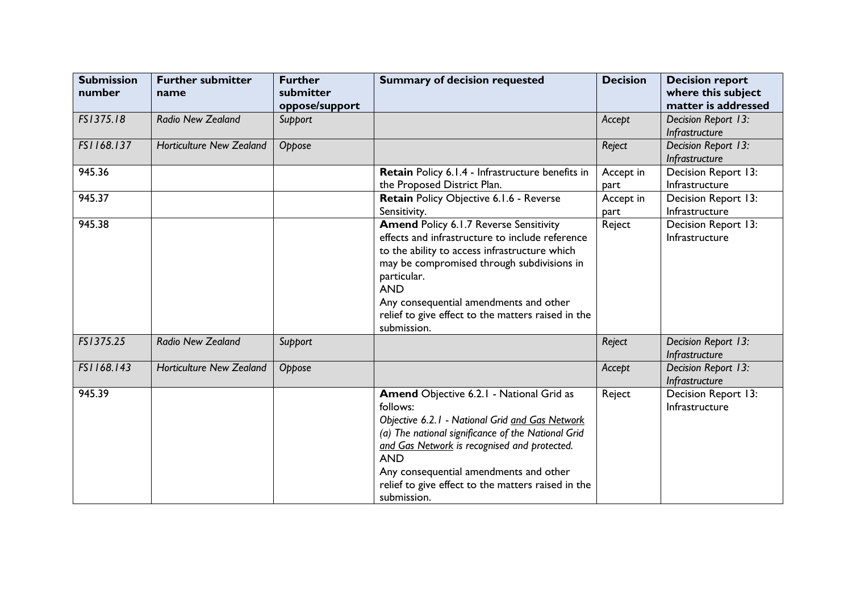| <b>Submission</b><br>number | <b>Further submitter</b><br>name | <b>Further</b><br>submitter<br>oppose/support | <b>Summary of decision requested</b>                                                                                                                                                                                                                                                                                                        | <b>Decision</b>   | <b>Decision report</b><br>where this subject<br>matter is addressed |
|-----------------------------|----------------------------------|-----------------------------------------------|---------------------------------------------------------------------------------------------------------------------------------------------------------------------------------------------------------------------------------------------------------------------------------------------------------------------------------------------|-------------------|---------------------------------------------------------------------|
| FS1375.18                   | <b>Radio New Zealand</b>         | Support                                       |                                                                                                                                                                                                                                                                                                                                             | Accept            | Decision Report 13:<br>Infrastructure                               |
| FS1168.137                  | <b>Horticulture New Zealand</b>  | Oppose                                        |                                                                                                                                                                                                                                                                                                                                             | Reject            | Decision Report 13:<br>Infrastructure                               |
| 945.36                      |                                  |                                               | Retain Policy 6.1.4 - Infrastructure benefits in<br>the Proposed District Plan.                                                                                                                                                                                                                                                             | Accept in<br>part | Decision Report 13:<br>Infrastructure                               |
| 945.37                      |                                  |                                               | Retain Policy Objective 6.1.6 - Reverse<br>Sensitivity.                                                                                                                                                                                                                                                                                     | Accept in<br>part | Decision Report 13:<br>Infrastructure                               |
| 945.38                      |                                  |                                               | <b>Amend Policy 6.1.7 Reverse Sensitivity</b><br>effects and infrastructure to include reference<br>to the ability to access infrastructure which<br>may be compromised through subdivisions in<br>particular.<br><b>AND</b><br>Any consequential amendments and other<br>relief to give effect to the matters raised in the<br>submission. | Reject            | Decision Report 13:<br>Infrastructure                               |
| FS1375.25                   | Radio New Zealand                | Support                                       |                                                                                                                                                                                                                                                                                                                                             | Reject            | Decision Report 13:<br>Infrastructure                               |
| FS1168.143                  | <b>Horticulture New Zealand</b>  | Oppose                                        |                                                                                                                                                                                                                                                                                                                                             | Accept            | Decision Report 13:<br>Infrastructure                               |
| 945.39                      |                                  |                                               | Amend Objective 6.2.1 - National Grid as<br>follows:<br>Objective 6.2.1 - National Grid and Gas Network<br>(a) The national significance of the National Grid<br>and Gas Network is recognised and protected.<br><b>AND</b><br>Any consequential amendments and other<br>relief to give effect to the matters raised in the<br>submission.  | Reject            | Decision Report 13:<br>Infrastructure                               |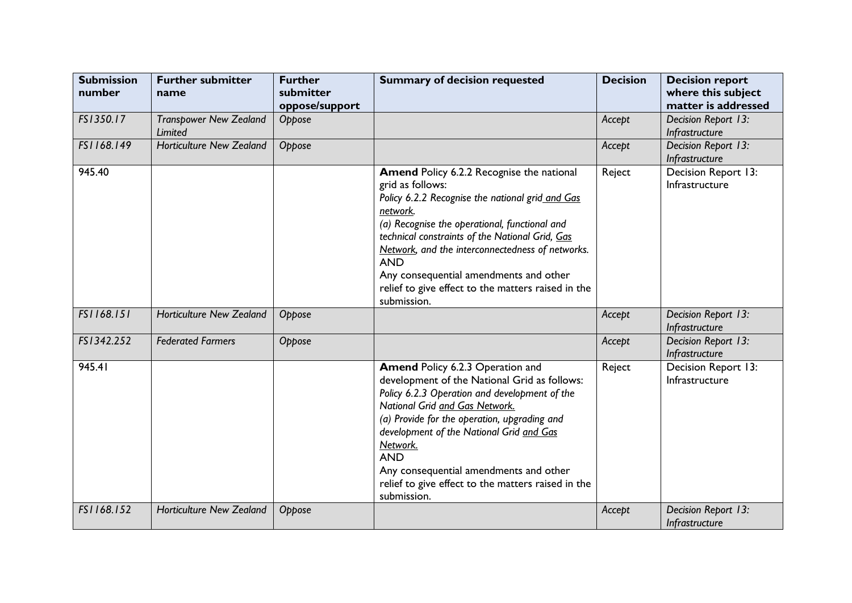| <b>Submission</b><br>number | <b>Further submitter</b><br>name         | <b>Further</b><br>submitter<br>oppose/support | <b>Summary of decision requested</b>                                                                                                                                                                                                                                                                                                                                                                               | <b>Decision</b> | <b>Decision report</b><br>where this subject<br>matter is addressed |
|-----------------------------|------------------------------------------|-----------------------------------------------|--------------------------------------------------------------------------------------------------------------------------------------------------------------------------------------------------------------------------------------------------------------------------------------------------------------------------------------------------------------------------------------------------------------------|-----------------|---------------------------------------------------------------------|
| FS1350.17                   | <b>Transpower New Zealand</b><br>Limited | Oppose                                        |                                                                                                                                                                                                                                                                                                                                                                                                                    | Accept          | Decision Report 13:<br>Infrastructure                               |
| FS1168.149                  | <b>Horticulture New Zealand</b>          | Oppose                                        |                                                                                                                                                                                                                                                                                                                                                                                                                    | Accept          | Decision Report 13:<br>Infrastructure                               |
| 945.40                      |                                          |                                               | Amend Policy 6.2.2 Recognise the national<br>grid as follows:<br>Policy 6.2.2 Recognise the national grid and Gas<br>network.<br>(a) Recognise the operational, functional and<br>technical constraints of the National Grid, Gas<br>Network, and the interconnectedness of networks.<br><b>AND</b><br>Any consequential amendments and other<br>relief to give effect to the matters raised in the<br>submission. | Reject          | Decision Report 13:<br>Infrastructure                               |
| FS1168.151                  | <b>Horticulture New Zealand</b>          | Oppose                                        |                                                                                                                                                                                                                                                                                                                                                                                                                    | Accept          | Decision Report 13:<br>Infrastructure                               |
| FS1342.252                  | <b>Federated Farmers</b>                 | Oppose                                        |                                                                                                                                                                                                                                                                                                                                                                                                                    | Accept          | Decision Report 13:<br>Infrastructure                               |
| 945.41                      |                                          |                                               | Amend Policy 6.2.3 Operation and<br>development of the National Grid as follows:<br>Policy 6.2.3 Operation and development of the<br>National Grid and Gas Network.<br>(a) Provide for the operation, upgrading and<br>development of the National Grid and Gas<br>Network.<br><b>AND</b><br>Any consequential amendments and other<br>relief to give effect to the matters raised in the<br>submission.           | Reject          | Decision Report 13:<br>Infrastructure                               |
| FS1168.152                  | <b>Horticulture New Zealand</b>          | Oppose                                        |                                                                                                                                                                                                                                                                                                                                                                                                                    | Accept          | Decision Report 13:<br>Infrastructure                               |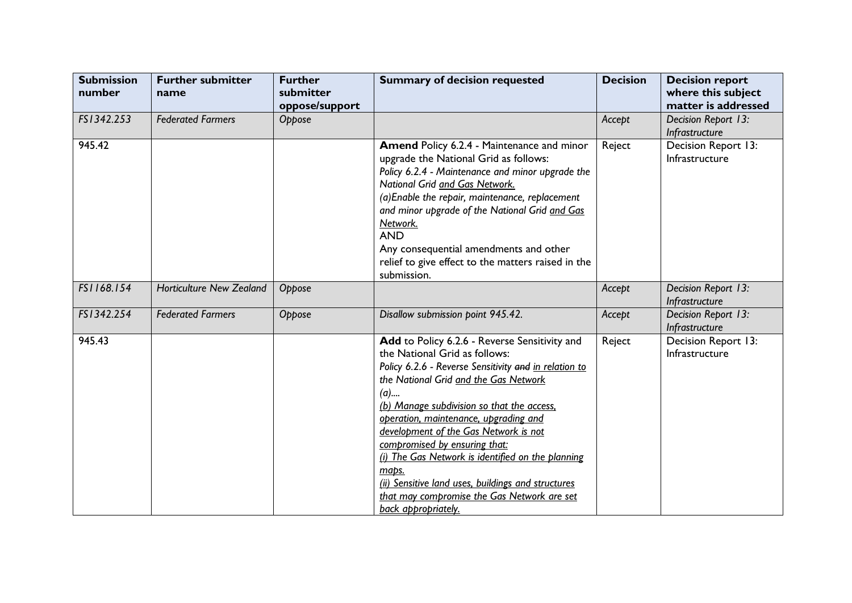| <b>Submission</b><br>number | <b>Further submitter</b><br>name | <b>Further</b><br>submitter<br>oppose/support | <b>Summary of decision requested</b>                                                                                                                                                                                                                                                                                                                                                                                                                                                                                                                 | <b>Decision</b> | <b>Decision report</b><br>where this subject<br>matter is addressed |
|-----------------------------|----------------------------------|-----------------------------------------------|------------------------------------------------------------------------------------------------------------------------------------------------------------------------------------------------------------------------------------------------------------------------------------------------------------------------------------------------------------------------------------------------------------------------------------------------------------------------------------------------------------------------------------------------------|-----------------|---------------------------------------------------------------------|
| FS1342.253                  | <b>Federated Farmers</b>         | Oppose                                        |                                                                                                                                                                                                                                                                                                                                                                                                                                                                                                                                                      | Accept          | Decision Report 13:<br>Infrastructure                               |
| 945.42                      |                                  |                                               | <b>Amend Policy 6.2.4 - Maintenance and minor</b><br>upgrade the National Grid as follows:<br>Policy 6.2.4 - Maintenance and minor upgrade the<br>National Grid and Gas Network.<br>(a) Enable the repair, maintenance, replacement<br>and minor upgrade of the National Grid and Gas<br>Network.<br><b>AND</b><br>Any consequential amendments and other<br>relief to give effect to the matters raised in the<br>submission.                                                                                                                       | Reject          | Decision Report 13:<br>Infrastructure                               |
| FS1168.154                  | <b>Horticulture New Zealand</b>  | Oppose                                        |                                                                                                                                                                                                                                                                                                                                                                                                                                                                                                                                                      | Accept          | Decision Report 13:<br>Infrastructure                               |
| FS1342.254                  | <b>Federated Farmers</b>         | Oppose                                        | Disallow submission point 945.42.                                                                                                                                                                                                                                                                                                                                                                                                                                                                                                                    | Accept          | Decision Report 13:<br>Infrastructure                               |
| 945.43                      |                                  |                                               | Add to Policy 6.2.6 - Reverse Sensitivity and<br>the National Grid as follows:<br>Policy 6.2.6 - Reverse Sensitivity and in relation to<br>the National Grid and the Gas Network<br>$(a)$<br>(b) Manage subdivision so that the access,<br>operation, maintenance, upgrading and<br>development of the Gas Network is not<br>compromised by ensuring that:<br>(i) The Gas Network is identified on the planning<br>mabs.<br>(ii) Sensitive land uses, buildings and structures<br>that may compromise the Gas Network are set<br>back appropriately. | Reject          | Decision Report 13:<br>Infrastructure                               |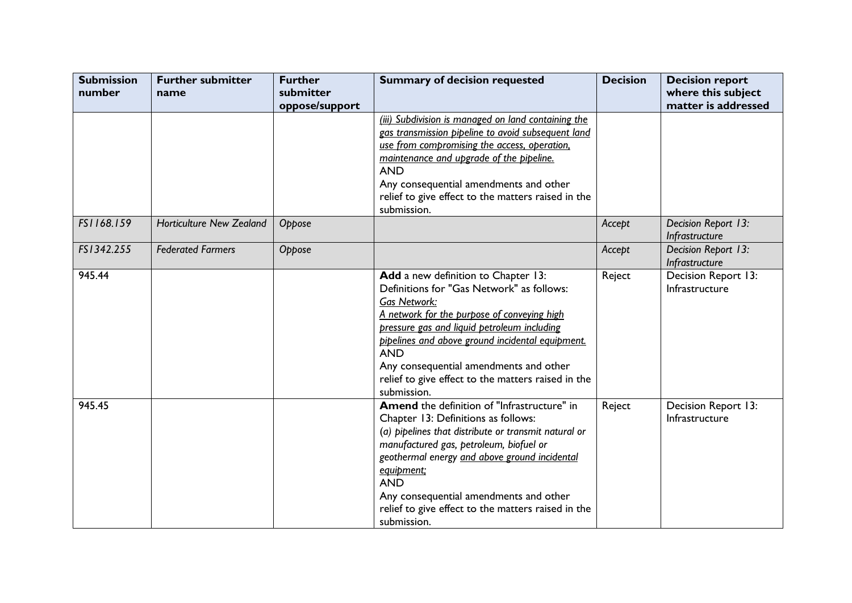| <b>Submission</b><br>number | <b>Further submitter</b><br>name | <b>Further</b><br>submitter | <b>Summary of decision requested</b>                                                                                                                                                                                                                                                                                                                                                   | <b>Decision</b> | <b>Decision report</b><br>where this subject |
|-----------------------------|----------------------------------|-----------------------------|----------------------------------------------------------------------------------------------------------------------------------------------------------------------------------------------------------------------------------------------------------------------------------------------------------------------------------------------------------------------------------------|-----------------|----------------------------------------------|
|                             |                                  | oppose/support              | (iii) Subdivision is managed on land containing the<br>gas transmission pipeline to avoid subsequent land<br>use from compromising the access, operation,<br>maintenance and upgrade of the pipeline.<br><b>AND</b><br>Any consequential amendments and other<br>relief to give effect to the matters raised in the<br>submission.                                                     |                 | matter is addressed                          |
| FS1168.159                  | <b>Horticulture New Zealand</b>  | Oppose                      |                                                                                                                                                                                                                                                                                                                                                                                        | Accept          | Decision Report 13:<br>Infrastructure        |
| FS1342.255                  | <b>Federated Farmers</b>         | Oppose                      |                                                                                                                                                                                                                                                                                                                                                                                        | Accept          | Decision Report 13:<br>Infrastructure        |
| 945.44                      |                                  |                             | Add a new definition to Chapter 13:<br>Definitions for "Gas Network" as follows:<br><b>Gas Network:</b><br>A network for the purpose of conveying high<br>pressure gas and liquid petroleum including<br>pipelines and above ground incidental equipment.<br><b>AND</b><br>Any consequential amendments and other<br>relief to give effect to the matters raised in the<br>submission. | Reject          | Decision Report 13:<br>Infrastructure        |
| 945.45                      |                                  |                             | Amend the definition of "Infrastructure" in<br>Chapter 13: Definitions as follows:<br>(a) pipelines that distribute or transmit natural or<br>manufactured gas, petroleum, biofuel or<br>geothermal energy and above ground incidental<br>equipment;<br><b>AND</b><br>Any consequential amendments and other<br>relief to give effect to the matters raised in the<br>submission.      | Reject          | Decision Report 13:<br>Infrastructure        |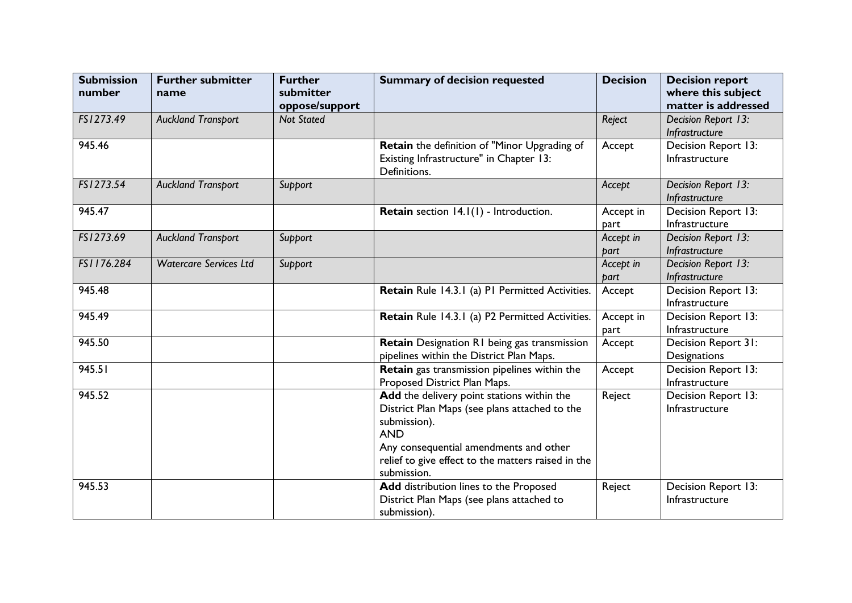| <b>Submission</b><br>number | <b>Further submitter</b><br>name | <b>Further</b><br>submitter<br>oppose/support | <b>Summary of decision requested</b>                                                                                                                                | <b>Decision</b>   | <b>Decision report</b><br>where this subject<br>matter is addressed |
|-----------------------------|----------------------------------|-----------------------------------------------|---------------------------------------------------------------------------------------------------------------------------------------------------------------------|-------------------|---------------------------------------------------------------------|
| FS1273.49                   | <b>Auckland Transport</b>        | <b>Not Stated</b>                             |                                                                                                                                                                     | Reject            | Decision Report 13:<br>Infrastructure                               |
| 945.46                      |                                  |                                               | Retain the definition of "Minor Upgrading of<br>Existing Infrastructure" in Chapter 13:<br>Definitions.                                                             | Accept            | Decision Report 13:<br>Infrastructure                               |
| FS1273.54                   | <b>Auckland Transport</b>        | Support                                       |                                                                                                                                                                     | Accept            | Decision Report 13:<br>Infrastructure                               |
| 945.47                      |                                  |                                               | Retain section 14.1(1) - Introduction.                                                                                                                              | Accept in<br>part | Decision Report 13:<br>Infrastructure                               |
| FS1273.69                   | <b>Auckland Transport</b>        | Support                                       |                                                                                                                                                                     | Accept in<br>part | Decision Report 13:<br>Infrastructure                               |
| FS1176.284                  | <b>Watercare Services Ltd</b>    | Support                                       |                                                                                                                                                                     | Accept in<br>part | Decision Report 13:<br>Infrastructure                               |
| 945.48                      |                                  |                                               | Retain Rule 14.3.1 (a) P1 Permitted Activities.                                                                                                                     | Accept            | Decision Report 13:<br>Infrastructure                               |
| 945.49                      |                                  |                                               | Retain Rule 14.3.1 (a) P2 Permitted Activities.                                                                                                                     | Accept in<br>part | Decision Report 13:<br>Infrastructure                               |
| 945.50                      |                                  |                                               | Retain Designation R1 being gas transmission<br>pipelines within the District Plan Maps.                                                                            | Accept            | Decision Report 31:<br>Designations                                 |
| 945.51                      |                                  |                                               | Retain gas transmission pipelines within the<br>Proposed District Plan Maps.                                                                                        | Accept            | Decision Report 13:<br>Infrastructure                               |
| 945.52                      |                                  |                                               | Add the delivery point stations within the<br>District Plan Maps (see plans attached to the<br>submission).<br><b>AND</b><br>Any consequential amendments and other | Reject            | Decision Report 13:<br>Infrastructure                               |
|                             |                                  |                                               | relief to give effect to the matters raised in the<br>submission.                                                                                                   |                   |                                                                     |
| 945.53                      |                                  |                                               | Add distribution lines to the Proposed<br>District Plan Maps (see plans attached to<br>submission).                                                                 | Reject            | Decision Report 13:<br>Infrastructure                               |